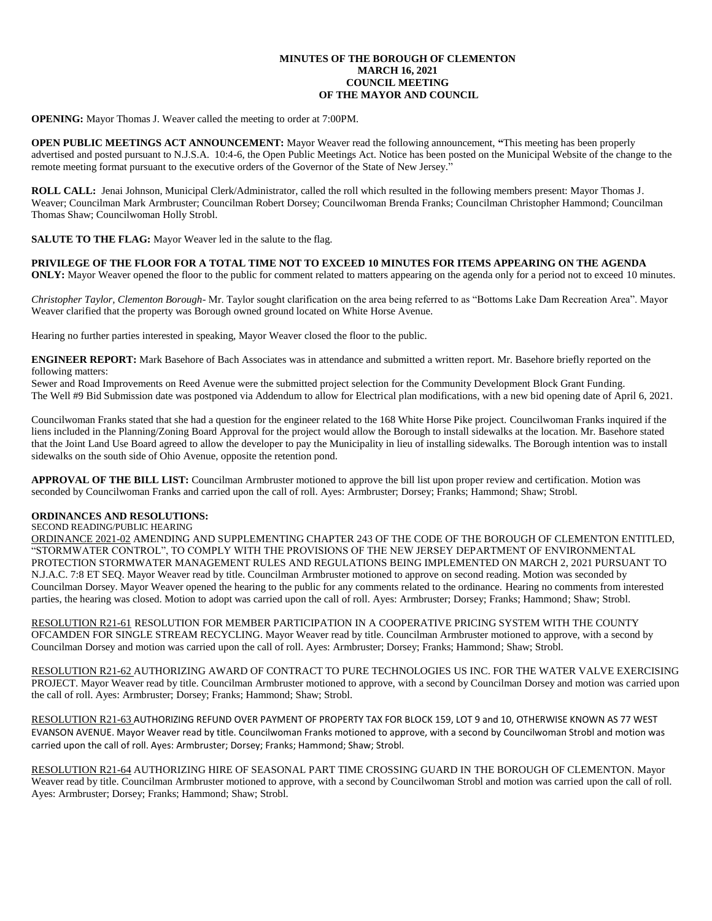### **MINUTES OF THE BOROUGH OF CLEMENTON MARCH 16, 2021 COUNCIL MEETING OF THE MAYOR AND COUNCIL**

**OPENING:** Mayor Thomas J. Weaver called the meeting to order at 7:00PM.

**OPEN PUBLIC MEETINGS ACT ANNOUNCEMENT:** Mayor Weaver read the following announcement, **"**This meeting has been properly advertised and posted pursuant to N.J.S.A. 10:4-6, the Open Public Meetings Act. Notice has been posted on the Municipal Website of the change to the remote meeting format pursuant to the executive orders of the Governor of the State of New Jersey."

**ROLL CALL:** Jenai Johnson, Municipal Clerk/Administrator, called the roll which resulted in the following members present: Mayor Thomas J. Weaver; Councilman Mark Armbruster; Councilman Robert Dorsey; Councilwoman Brenda Franks; Councilman Christopher Hammond; Councilman Thomas Shaw; Councilwoman Holly Strobl.

**SALUTE TO THE FLAG:** Mayor Weaver led in the salute to the flag.

**PRIVILEGE OF THE FLOOR FOR A TOTAL TIME NOT TO EXCEED 10 MINUTES FOR ITEMS APPEARING ON THE AGENDA ONLY:** Mayor Weaver opened the floor to the public for comment related to matters appearing on the agenda only for a period not to exceed 10 minutes.

*Christopher Taylor, Clementon Borough-* Mr. Taylor sought clarification on the area being referred to as "Bottoms Lake Dam Recreation Area". Mayor Weaver clarified that the property was Borough owned ground located on White Horse Avenue.

Hearing no further parties interested in speaking, Mayor Weaver closed the floor to the public.

**ENGINEER REPORT:** Mark Basehore of Bach Associates was in attendance and submitted a written report. Mr. Basehore briefly reported on the following matters:

Sewer and Road Improvements on Reed Avenue were the submitted project selection for the Community Development Block Grant Funding. The Well #9 Bid Submission date was postponed via Addendum to allow for Electrical plan modifications, with a new bid opening date of April 6, 2021.

Councilwoman Franks stated that she had a question for the engineer related to the 168 White Horse Pike project. Councilwoman Franks inquired if the liens included in the Planning/Zoning Board Approval for the project would allow the Borough to install sidewalks at the location. Mr. Basehore stated that the Joint Land Use Board agreed to allow the developer to pay the Municipality in lieu of installing sidewalks. The Borough intention was to install sidewalks on the south side of Ohio Avenue, opposite the retention pond.

**APPROVAL OF THE BILL LIST:** Councilman Armbruster motioned to approve the bill list upon proper review and certification. Motion was seconded by Councilwoman Franks and carried upon the call of roll. Ayes: Armbruster; Dorsey; Franks; Hammond; Shaw; Strobl.

## **ORDINANCES AND RESOLUTIONS:**

SECOND READING/PUBLIC HEARING

ORDINANCE 2021-02 AMENDING AND SUPPLEMENTING CHAPTER 243 OF THE CODE OF THE BOROUGH OF CLEMENTON ENTITLED, "STORMWATER CONTROL", TO COMPLY WITH THE PROVISIONS OF THE NEW JERSEY DEPARTMENT OF ENVIRONMENTAL PROTECTION STORMWATER MANAGEMENT RULES AND REGULATIONS BEING IMPLEMENTED ON MARCH 2, 2021 PURSUANT TO N.J.A.C. 7:8 ET SEQ. Mayor Weaver read by title. Councilman Armbruster motioned to approve on second reading. Motion was seconded by Councilman Dorsey. Mayor Weaver opened the hearing to the public for any comments related to the ordinance. Hearing no comments from interested parties, the hearing was closed. Motion to adopt was carried upon the call of roll. Ayes: Armbruster; Dorsey; Franks; Hammond; Shaw; Strobl.

RESOLUTION R21-61 RESOLUTION FOR MEMBER PARTICIPATION IN A COOPERATIVE PRICING SYSTEM WITH THE COUNTY OFCAMDEN FOR SINGLE STREAM RECYCLING. Mayor Weaver read by title. Councilman Armbruster motioned to approve, with a second by Councilman Dorsey and motion was carried upon the call of roll. Ayes: Armbruster; Dorsey; Franks; Hammond; Shaw; Strobl.

RESOLUTION R21-62 AUTHORIZING AWARD OF CONTRACT TO PURE TECHNOLOGIES US INC. FOR THE WATER VALVE EXERCISING PROJECT. Mayor Weaver read by title. Councilman Armbruster motioned to approve, with a second by Councilman Dorsey and motion was carried upon the call of roll. Ayes: Armbruster; Dorsey; Franks; Hammond; Shaw; Strobl.

RESOLUTION R21-63 AUTHORIZING REFUND OVER PAYMENT OF PROPERTY TAX FOR BLOCK 159, LOT 9 and 10, OTHERWISE KNOWN AS 77 WEST EVANSON AVENUE. Mayor Weaver read by title. Councilwoman Franks motioned to approve, with a second by Councilwoman Strobl and motion was carried upon the call of roll. Ayes: Armbruster; Dorsey; Franks; Hammond; Shaw; Strobl.

RESOLUTION R21-64 AUTHORIZING HIRE OF SEASONAL PART TIME CROSSING GUARD IN THE BOROUGH OF CLEMENTON. Mayor Weaver read by title. Councilman Armbruster motioned to approve, with a second by Councilwoman Strobl and motion was carried upon the call of roll. Ayes: Armbruster; Dorsey; Franks; Hammond; Shaw; Strobl.